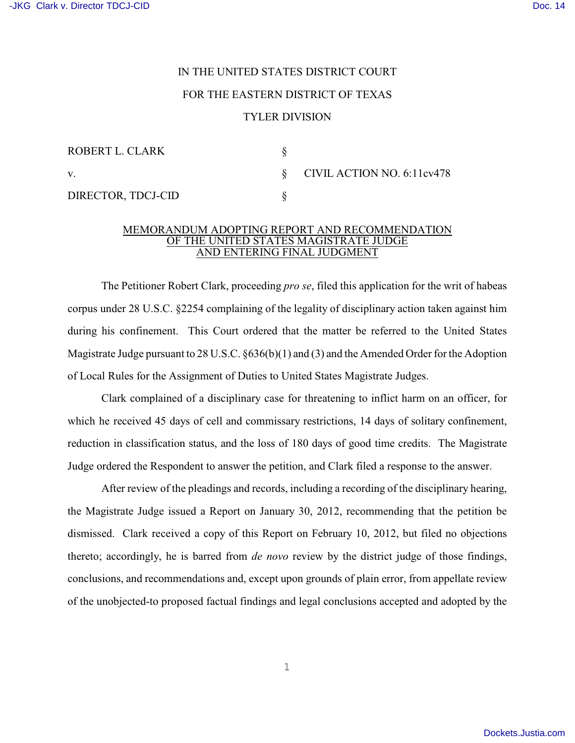## IN THE UNITED STATES DISTRICT COURT FOR THE EASTERN DISTRICT OF TEXAS TYLER DIVISION

| ROBERT L. CLARK    |                                    |
|--------------------|------------------------------------|
| V.                 | $\S$ CIVIL ACTION NO. 6:11 $cv478$ |
| DIRECTOR, TDCJ-CID |                                    |

## MEMORANDUM ADOPTING REPORT AND RECOMMENDATION OF THE UNITED STATES MAGISTRATE JUDGE AND ENTERING FINAL JUDGMENT

The Petitioner Robert Clark, proceeding *pro se*, filed this application for the writ of habeas corpus under 28 U.S.C. §2254 complaining of the legality of disciplinary action taken against him during his confinement. This Court ordered that the matter be referred to the United States Magistrate Judge pursuant to 28 U.S.C. §636(b)(1) and (3) and the Amended Order for the Adoption of Local Rules for the Assignment of Duties to United States Magistrate Judges.

Clark complained of a disciplinary case for threatening to inflict harm on an officer, for which he received 45 days of cell and commissary restrictions, 14 days of solitary confinement, reduction in classification status, and the loss of 180 days of good time credits. The Magistrate Judge ordered the Respondent to answer the petition, and Clark filed a response to the answer.

After review of the pleadings and records, including a recording of the disciplinary hearing, the Magistrate Judge issued a Report on January 30, 2012, recommending that the petition be dismissed. Clark received a copy of this Report on February 10, 2012, but filed no objections thereto; accordingly, he is barred from *de novo* review by the district judge of those findings, conclusions, and recommendations and, except upon grounds of plain error, from appellate review of the unobjected-to proposed factual findings and legal conclusions accepted and adopted by the